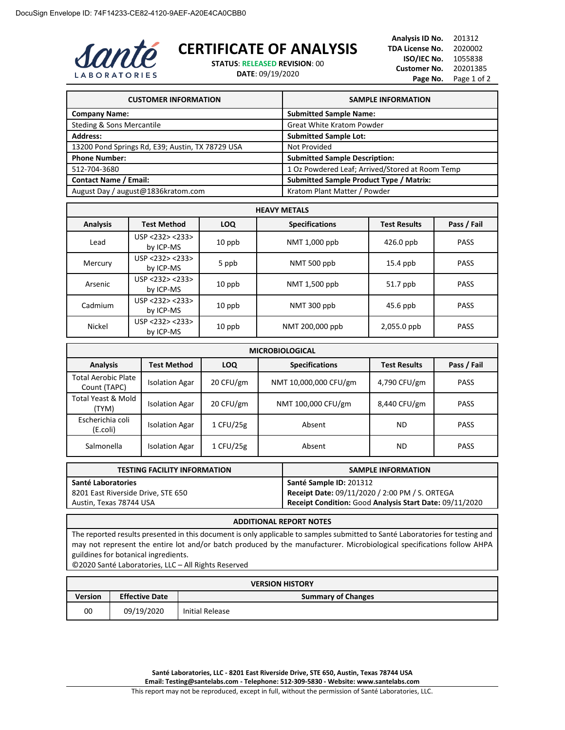

## **CERTIFICATE OF ANALYSIS**

**STATUS**: **RELEASED REVISION**: 00

**DATE**: 09/19/2020

**Analysis ID No.** 201312 **TDA License No.** 2020002 **ISO/IEC No.** 1055838 **Customer No.** 20201385 Page No. Page 1 of 2

| <b>CUSTOMER INFORMATION</b>                      | <b>SAMPLE INFORMATION</b>                       |
|--------------------------------------------------|-------------------------------------------------|
| <b>Company Name:</b>                             | <b>Submitted Sample Name:</b>                   |
| Steding & Sons Mercantile                        | <b>Great White Kratom Powder</b>                |
| <b>Address:</b>                                  | <b>Submitted Sample Lot:</b>                    |
| 13200 Pond Springs Rd, E39; Austin, TX 78729 USA | Not Provided                                    |
| <b>Phone Number:</b>                             | <b>Submitted Sample Description:</b>            |
| 512-704-3680                                     | 1 Oz Powdered Leaf; Arrived/Stored at Room Temp |
| <b>Contact Name / Email:</b>                     | <b>Submitted Sample Product Type / Matrix:</b>  |
| August Day / august@1836kratom.com               | Kratom Plant Matter / Powder                    |

| <b>HEAVY METALS</b> |                              |            |                       |                     |             |
|---------------------|------------------------------|------------|-----------------------|---------------------|-------------|
| <b>Analysis</b>     | <b>Test Method</b>           | <b>LOQ</b> | <b>Specifications</b> | <b>Test Results</b> | Pass / Fail |
| Lead                | USP < 232 > 233<br>by ICP-MS | $10$ ppb   | NMT 1,000 ppb         | $426.0$ ppb         | <b>PASS</b> |
| Mercury             | USP <232> <233><br>by ICP-MS | 5 ppb      | NMT 500 ppb           | $15.4$ ppb          | <b>PASS</b> |
| Arsenic             | USP < 232 > 233<br>by ICP-MS | $10$ ppb   | NMT 1,500 ppb         | 51.7 ppb            | <b>PASS</b> |
| Cadmium             | USP < 232 > 233<br>by ICP-MS | $10$ ppb   | NMT 300 ppb           | $45.6$ ppb          | <b>PASS</b> |
| Nickel              | USP < 232 > 233<br>by ICP-MS | $10$ ppb   | NMT 200,000 ppb       | 2,055.0 ppb         | <b>PASS</b> |

| <b>MICROBIOLOGICAL</b>                     |                       |            |                       |                     |             |
|--------------------------------------------|-----------------------|------------|-----------------------|---------------------|-------------|
| <b>Analysis</b>                            | Test Method           | <b>LOQ</b> | <b>Specifications</b> | <b>Test Results</b> | Pass / Fail |
| <b>Total Aerobic Plate</b><br>Count (TAPC) | <b>Isolation Agar</b> | 20 CFU/gm  | NMT 10,000,000 CFU/gm | 4,790 CFU/gm        | <b>PASS</b> |
| Total Yeast & Mold<br>(TYM)                | <b>Isolation Agar</b> | 20 CFU/gm  | NMT 100,000 CFU/gm    | 8,440 CFU/gm        | <b>PASS</b> |
| Escherichia coli<br>(E.coli)               | <b>Isolation Agar</b> | 1 CFU/25g  | Absent                | <b>ND</b>           | <b>PASS</b> |
| Salmonella                                 | <b>Isolation Agar</b> | 1 CFU/25g  | Absent                | ND                  | <b>PASS</b> |

| <b>TESTING FACILITY INFORMATION</b> | <b>SAMPLE INFORMATION</b>                               |
|-------------------------------------|---------------------------------------------------------|
| Santé Laboratories                  | Santé Sample ID: 201312                                 |
| 8201 East Riverside Drive, STE 650  | Receipt Date: 09/11/2020 / 2:00 PM / S. ORTEGA          |
| Austin, Texas 78744 USA             | Receipt Condition: Good Analysis Start Date: 09/11/2020 |

## **ADDITIONAL REPORT NOTES**

The reported results presented in this document is only applicable to samples submitted to Santé Laboratories for testing and may not represent the entire lot and/or batch produced by the manufacturer. Microbiological specifications follow AHPA guildines for botanical ingredients.

©2020 Santé Laboratories, LLC – All Rights Reserved

| <b>VERSION HISTORY</b> |                       |                           |
|------------------------|-----------------------|---------------------------|
| <b>Version</b>         | <b>Effective Date</b> | <b>Summary of Changes</b> |
| 00                     | 09/19/2020            | Initial Release           |